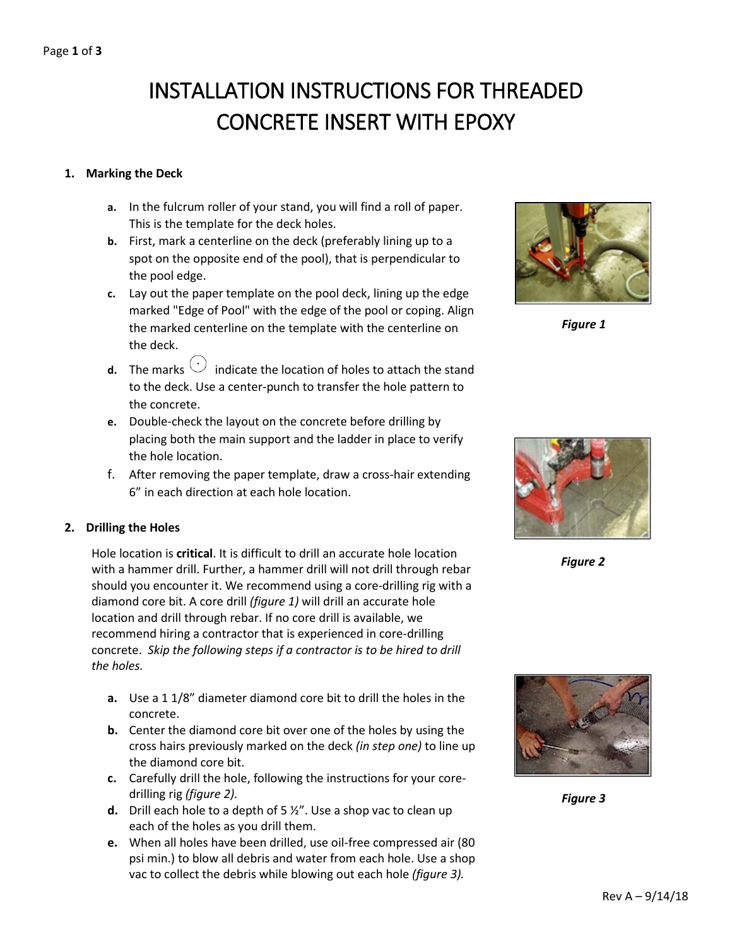# INSTALLATION INSTRUCTIONS FOR THREADED CONCRETE INSERT WITH EPOXY

#### **1. Marking the Deck**

- **a.** In the fulcrum roller of your stand, you will find a roll of paper. This is the template for the deck holes.
- **b.** First, mark a centerline on the deck (preferably lining up to a spot on the opposite end of the pool), that is perpendicular to the pool edge.
- **c.** Lay out the paper template on the pool deck, lining up the edge marked "Edge of Pool" with the edge of the pool or coping. Align the marked centerline on the template with the centerline on the deck.
- **d.** The marks  $\bigcirc$  indicate the location of holes to attach the stand to the deck. Use a center-punch to transfer the hole pattern to the concrete.
- **e.** Double-check the layout on the concrete before drilling by placing both the main support and the ladder in place to verify the hole location.
- f. After removing the paper template, draw a cross-hair extending 6" in each direction at each hole location.

### **2. Drilling the Holes**

Hole location is **critical**. It is difficult to drill an accurate hole location with a hammer drill. Further, a hammer drill will not drill through rebar should you encounter it. We recommend using a core-drilling rig with a diamond core bit. A core drill *(figure 1)* will drill an accurate hole location and drill through rebar. If no core drill is available, we recommend hiring a contractor that is experienced in core-drilling concrete. *Skip the following steps if a contractor is to be hired to drill the holes.*

- **a.** Use a 1 1/8" diameter diamond core bit to drill the holes in the concrete.
- **b.** Center the diamond core bit over one of the holes by using the cross hairs previously marked on the deck *(in step one)* to line up the diamond core bit.
- **c.** Carefully drill the hole, following the instructions for your coredrilling rig *(figure 2).*
- **d.** Drill each hole to a depth of 5 ½". Use a shop vac to clean up each of the holes as you drill them.
- **e.** When all holes have been drilled, use oil-free compressed air (80 psi min.) to blow all debris and water from each hole. Use a shop vac to collect the debris while blowing out each hole *(figure 3).*



*Figure 1*



*Figure 2*



*Figure 3*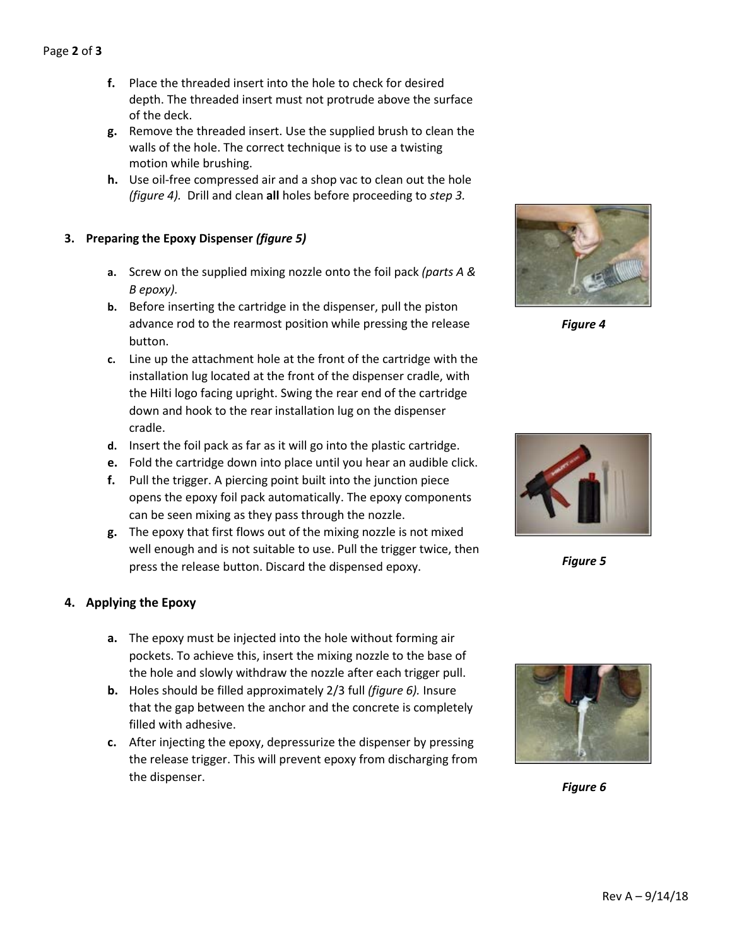- **f.** Place the threaded insert into the hole to check for desired depth. The threaded insert must not protrude above the surface of the deck.
- **g.** Remove the threaded insert. Use the supplied brush to clean the walls of the hole. The correct technique is to use a twisting motion while brushing.
- **h.** Use oil-free compressed air and a shop vac to clean out the hole *(figure 4).* Drill and clean **all** holes before proceeding to *step 3.*

## **3. Preparing the Epoxy Dispenser** *(figure 5)*

- **a.** Screw on the supplied mixing nozzle onto the foil pack *(parts A & B epoxy).*
- **b.** Before inserting the cartridge in the dispenser, pull the piston advance rod to the rearmost position while pressing the release button.
- **c.** Line up the attachment hole at the front of the cartridge with the installation lug located at the front of the dispenser cradle, with the Hilti logo facing upright. Swing the rear end of the cartridge down and hook to the rear installation lug on the dispenser cradle.
- **d.** Insert the foil pack as far as it will go into the plastic cartridge.
- **e.** Fold the cartridge down into place until you hear an audible click.
- **f.** Pull the trigger. A piercing point built into the junction piece opens the epoxy foil pack automatically. The epoxy components can be seen mixing as they pass through the nozzle.
- **g.** The epoxy that first flows out of the mixing nozzle is not mixed well enough and is not suitable to use. Pull the trigger twice, then press the release button. Discard the dispensed epoxy.

## **4. Applying the Epoxy**

- **a.** The epoxy must be injected into the hole without forming air pockets. To achieve this, insert the mixing nozzle to the base of the hole and slowly withdraw the nozzle after each trigger pull.
- **b.** Holes should be filled approximately 2/3 full *(figure 6).* Insure that the gap between the anchor and the concrete is completely filled with adhesive.
- **c.** After injecting the epoxy, depressurize the dispenser by pressing the release trigger. This will prevent epoxy from discharging from the dispenser.



*Figure 4*



*Figure 5*



*Figure 6*